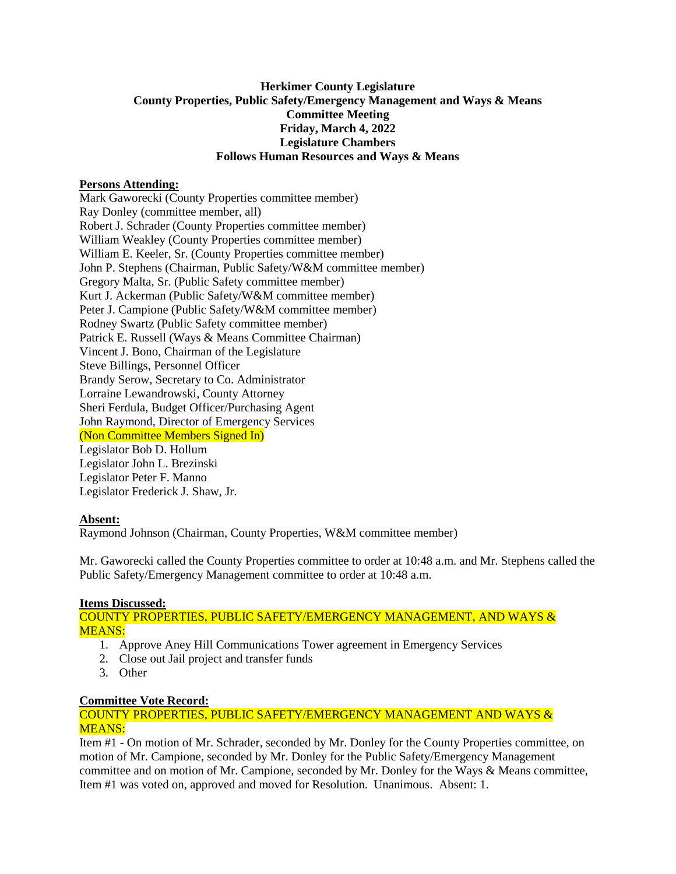# **Herkimer County Legislature County Properties, Public Safety/Emergency Management and Ways & Means Committee Meeting Friday, March 4, 2022 Legislature Chambers Follows Human Resources and Ways & Means**

# **Persons Attending:**

Mark Gaworecki (County Properties committee member) Ray Donley (committee member, all) Robert J. Schrader (County Properties committee member) William Weakley (County Properties committee member) William E. Keeler, Sr. (County Properties committee member) John P. Stephens (Chairman, Public Safety/W&M committee member) Gregory Malta, Sr. (Public Safety committee member) Kurt J. Ackerman (Public Safety/W&M committee member) Peter J. Campione (Public Safety/W&M committee member) Rodney Swartz (Public Safety committee member) Patrick E. Russell (Ways & Means Committee Chairman) Vincent J. Bono, Chairman of the Legislature Steve Billings, Personnel Officer Brandy Serow, Secretary to Co. Administrator Lorraine Lewandrowski, County Attorney Sheri Ferdula, Budget Officer/Purchasing Agent John Raymond, Director of Emergency Services (Non Committee Members Signed In) Legislator Bob D. Hollum Legislator John L. Brezinski Legislator Peter F. Manno Legislator Frederick J. Shaw, Jr.

### **Absent:**

Raymond Johnson (Chairman, County Properties, W&M committee member)

Mr. Gaworecki called the County Properties committee to order at 10:48 a.m. and Mr. Stephens called the Public Safety/Emergency Management committee to order at 10:48 a.m.

### **Items Discussed:**

COUNTY PROPERTIES, PUBLIC SAFETY/EMERGENCY MANAGEMENT, AND WAYS & MEANS:

- 1. Approve Aney Hill Communications Tower agreement in Emergency Services
- 2. Close out Jail project and transfer funds
- 3. Other

### **Committee Vote Record:**

### COUNTY PROPERTIES, PUBLIC SAFETY/EMERGENCY MANAGEMENT AND WAYS & MEANS:

Item #1 - On motion of Mr. Schrader, seconded by Mr. Donley for the County Properties committee, on motion of Mr. Campione, seconded by Mr. Donley for the Public Safety/Emergency Management committee and on motion of Mr. Campione, seconded by Mr. Donley for the Ways & Means committee, Item #1 was voted on, approved and moved for Resolution. Unanimous. Absent: 1.